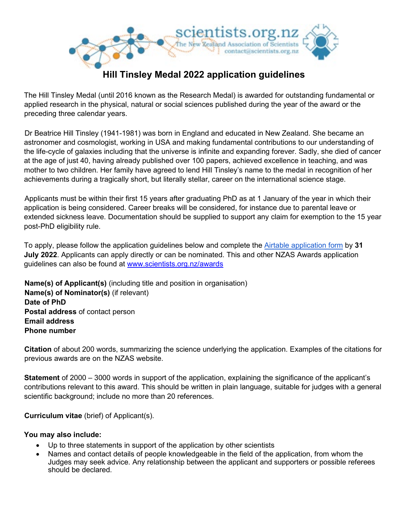

## The Hill Tinsley Medal (until 2016 known as the Research Medal) is awarded for outstanding fundamental or applied research in the physical, natural or social sciences published during the year of the award or the preceding three calendar years.

Dr Beatrice Hill Tinsley (1941-1981) was born in England and educated in New Zealand. She became an astronomer and cosmologist, working in USA and making fundamental contributions to our understanding of the life-cycle of galaxies including that the universe is infinite and expanding forever. Sadly, she died of cancer at the age of just 40, having already published over 100 papers, achieved excellence in teaching, and was mother to two children. Her family have agreed to lend Hill Tinsley's name to the medal in recognition of her achievements during a tragically short, but literally stellar, career on the international science stage.

Applicants must be within their first 15 years after graduating PhD as at 1 January of the year in which their application is being considered. Career breaks will be considered, for instance due to parental leave or extended sickness leave. Documentation should be supplied to support any claim for exemption to the 15 year post-PhD eligibility rule.

To apply, please follow the application guidelines below and complete the [Airtable application form](https://scientists.org.nz/htm_application) by **31 July 2022**. Applicants can apply directly or can be nominated. This and other NZAS Awards application guidelines can also be found at www.scientists.org.nz/awards

**Name(s) of Applicant(s)** (including title and position in organisation) **Name(s) of Nominator(s)** (if relevant) **Date of PhD Postal address** of contact person **Email address Phone number** 

**Citation** of about 200 words, summarizing the science underlying the application. Examples of the citations for previous awards are on the NZAS website.

**Statement** of 2000 – 3000 words in support of the application, explaining the significance of the applicant's contributions relevant to this award. This should be written in plain language, suitable for judges with a general scientific background; include no more than 20 references.

**Curriculum vitae** (brief) of Applicant(s).

## **You may also include:**

- Up to three statements in support of the application by other scientists
- Names and contact details of people knowledgeable in the field of the application, from whom the Judges may seek advice. Any relationship between the applicant and supporters or possible referees should be declared.